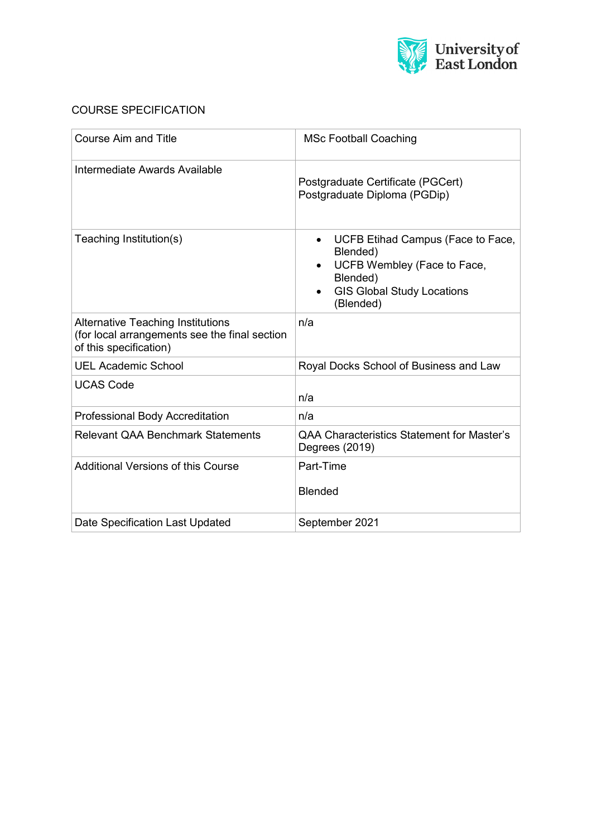

# COURSE SPECIFICATION

| Course Aim and Title                                                                                                | <b>MSc Football Coaching</b>                                                                                                                            |
|---------------------------------------------------------------------------------------------------------------------|---------------------------------------------------------------------------------------------------------------------------------------------------------|
| Intermediate Awards Available                                                                                       | Postgraduate Certificate (PGCert)<br>Postgraduate Diploma (PGDip)                                                                                       |
| Teaching Institution(s)                                                                                             | UCFB Etihad Campus (Face to Face,<br>$\bullet$<br>Blended)<br>UCFB Wembley (Face to Face,<br>Blended)<br><b>GIS Global Study Locations</b><br>(Blended) |
| <b>Alternative Teaching Institutions</b><br>(for local arrangements see the final section<br>of this specification) | n/a                                                                                                                                                     |
| <b>UEL Academic School</b>                                                                                          | Royal Docks School of Business and Law                                                                                                                  |
| <b>UCAS Code</b>                                                                                                    | n/a                                                                                                                                                     |
| <b>Professional Body Accreditation</b>                                                                              | n/a                                                                                                                                                     |
| <b>Relevant QAA Benchmark Statements</b>                                                                            | <b>QAA Characteristics Statement for Master's</b><br>Degrees (2019)                                                                                     |
| <b>Additional Versions of this Course</b>                                                                           | Part-Time<br><b>Blended</b>                                                                                                                             |
| Date Specification Last Updated                                                                                     | September 2021                                                                                                                                          |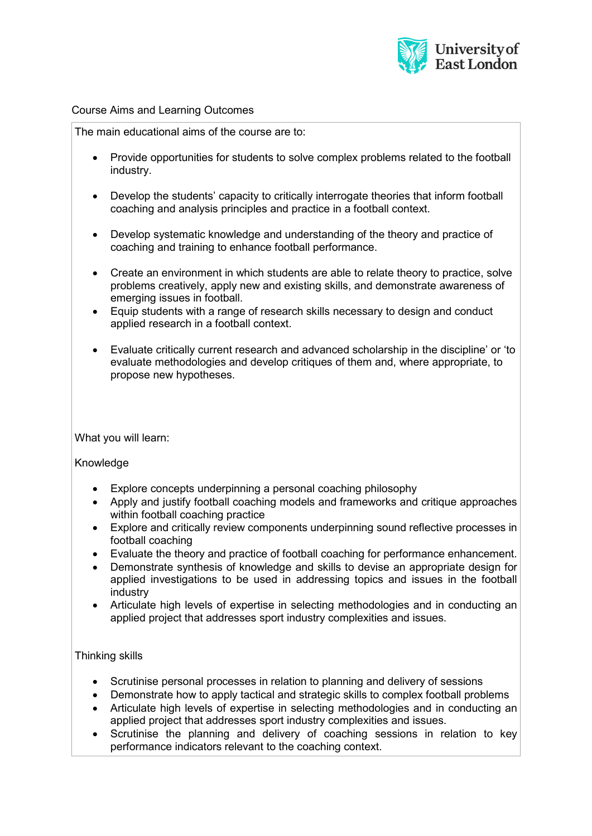

#### Course Aims and Learning Outcomes

The main educational aims of the course are to:

- Provide opportunities for students to solve complex problems related to the football industry.
- Develop the students' capacity to critically interrogate theories that inform football coaching and analysis principles and practice in a football context.
- Develop systematic knowledge and understanding of the theory and practice of coaching and training to enhance football performance.
- Create an environment in which students are able to relate theory to practice, solve problems creatively, apply new and existing skills, and demonstrate awareness of emerging issues in football.
- Equip students with a range of research skills necessary to design and conduct applied research in a football context.
- Evaluate critically current research and advanced scholarship in the discipline' or 'to evaluate methodologies and develop critiques of them and, where appropriate, to propose new hypotheses.

What you will learn:

## Knowledge

- Explore concepts underpinning a personal coaching philosophy
- Apply and justify football coaching models and frameworks and critique approaches within football coaching practice
- Explore and critically review components underpinning sound reflective processes in football coaching
- Evaluate the theory and practice of football coaching for performance enhancement.
- Demonstrate synthesis of knowledge and skills to devise an appropriate design for applied investigations to be used in addressing topics and issues in the football industry
- Articulate high levels of expertise in selecting methodologies and in conducting an applied project that addresses sport industry complexities and issues.

## Thinking skills

- Scrutinise personal processes in relation to planning and delivery of sessions
- Demonstrate how to apply tactical and strategic skills to complex football problems
- Articulate high levels of expertise in selecting methodologies and in conducting an applied project that addresses sport industry complexities and issues.
- Scrutinise the planning and delivery of coaching sessions in relation to key performance indicators relevant to the coaching context.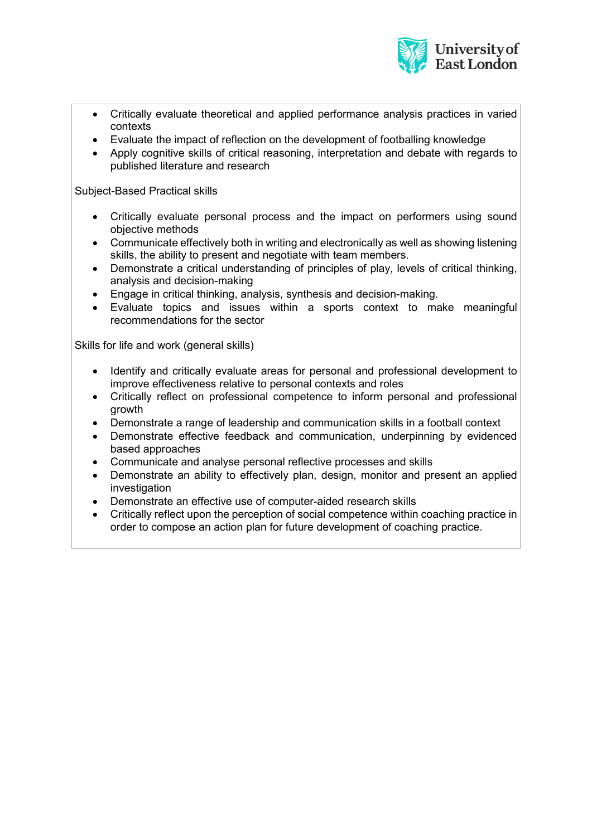

- Critically evaluate theoretical and applied performance analysis practices in varied contexts
- Evaluate the impact of reflection on the development of footballing knowledge
- Apply cognitive skills of critical reasoning, interpretation and debate with regards to published literature and research

Subject-Based Practical skills

- Critically evaluate personal process and the impact on performers using sound objective methods
- Communicate effectively both in writing and electronically as well as showing listening skills, the ability to present and negotiate with team members.
- Demonstrate a critical understanding of principles of play, levels of critical thinking, analysis and decision-making
- Engage in critical thinking, analysis, synthesis and decision-making.
- Evaluate topics and issues within a sports context to make meaningful recommendations for the sector

Skills for life and work (general skills)

- Identify and critically evaluate areas for personal and professional development to improve effectiveness relative to personal contexts and roles
- Critically reflect on professional competence to inform personal and professional growth
- Demonstrate a range of leadership and communication skills in a football context
- Demonstrate effective feedback and communication, underpinning by evidenced based approaches
- Communicate and analyse personal reflective processes and skills
- Demonstrate an ability to effectively plan, design, monitor and present an applied investigation
- Demonstrate an effective use of computer-aided research skills
- Critically reflect upon the perception of social competence within coaching practice in order to compose an action plan for future development of coaching practice.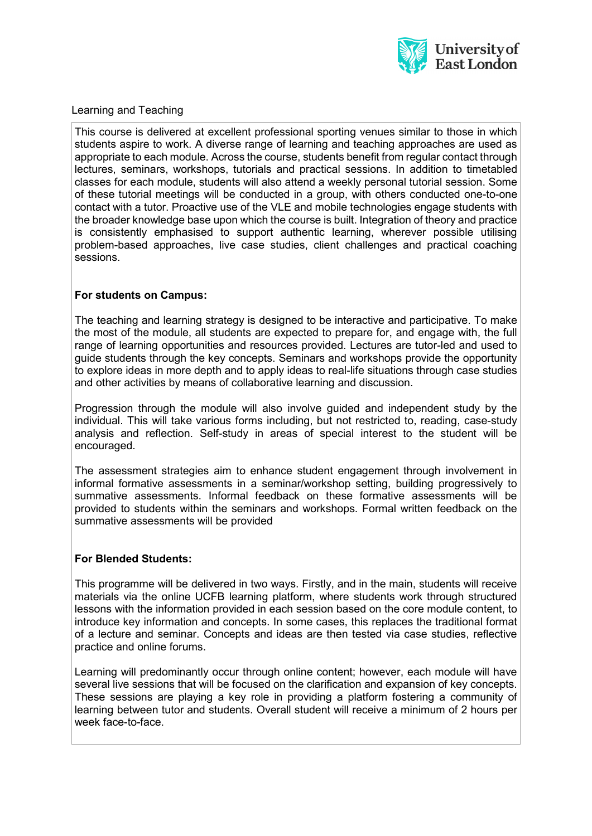

## Learning and Teaching

This course is delivered at excellent professional sporting venues similar to those in which students aspire to work. A diverse range of learning and teaching approaches are used as appropriate to each module. Across the course, students benefit from regular contact through lectures, seminars, workshops, tutorials and practical sessions. In addition to timetabled classes for each module, students will also attend a weekly personal tutorial session. Some of these tutorial meetings will be conducted in a group, with others conducted one-to-one contact with a tutor. Proactive use of the VLE and mobile technologies engage students with the broader knowledge base upon which the course is built. Integration of theory and practice is consistently emphasised to support authentic learning, wherever possible utilising problem-based approaches, live case studies, client challenges and practical coaching sessions.

## **For students on Campus:**

The teaching and learning strategy is designed to be interactive and participative. To make the most of the module, all students are expected to prepare for, and engage with, the full range of learning opportunities and resources provided. Lectures are tutor-led and used to guide students through the key concepts. Seminars and workshops provide the opportunity to explore ideas in more depth and to apply ideas to real-life situations through case studies and other activities by means of collaborative learning and discussion.

Progression through the module will also involve guided and independent study by the individual. This will take various forms including, but not restricted to, reading, case-study analysis and reflection. Self-study in areas of special interest to the student will be encouraged.

The assessment strategies aim to enhance student engagement through involvement in informal formative assessments in a seminar/workshop setting, building progressively to summative assessments. Informal feedback on these formative assessments will be provided to students within the seminars and workshops. Formal written feedback on the summative assessments will be provided

## **For Blended Students:**

This programme will be delivered in two ways. Firstly, and in the main, students will receive materials via the online UCFB learning platform, where students work through structured lessons with the information provided in each session based on the core module content, to introduce key information and concepts. In some cases, this replaces the traditional format of a lecture and seminar. Concepts and ideas are then tested via case studies, reflective practice and online forums.

Learning will predominantly occur through online content; however, each module will have several live sessions that will be focused on the clarification and expansion of key concepts. These sessions are playing a key role in providing a platform fostering a community of learning between tutor and students. Overall student will receive a minimum of 2 hours per week face-to-face.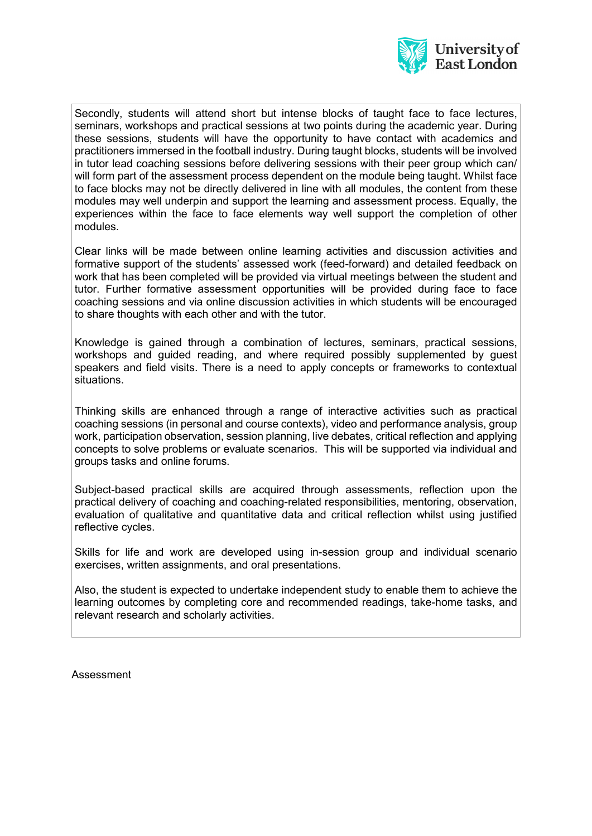

Secondly, students will attend short but intense blocks of taught face to face lectures, seminars, workshops and practical sessions at two points during the academic year. During these sessions, students will have the opportunity to have contact with academics and practitioners immersed in the football industry. During taught blocks, students will be involved in tutor lead coaching sessions before delivering sessions with their peer group which can/ will form part of the assessment process dependent on the module being taught. Whilst face to face blocks may not be directly delivered in line with all modules, the content from these modules may well underpin and support the learning and assessment process. Equally, the experiences within the face to face elements way well support the completion of other modules.

Clear links will be made between online learning activities and discussion activities and formative support of the students' assessed work (feed-forward) and detailed feedback on work that has been completed will be provided via virtual meetings between the student and tutor. Further formative assessment opportunities will be provided during face to face coaching sessions and via online discussion activities in which students will be encouraged to share thoughts with each other and with the tutor.

Knowledge is gained through a combination of lectures, seminars, practical sessions, workshops and guided reading, and where required possibly supplemented by guest speakers and field visits. There is a need to apply concepts or frameworks to contextual situations.

Thinking skills are enhanced through a range of interactive activities such as practical coaching sessions (in personal and course contexts), video and performance analysis, group work, participation observation, session planning, live debates, critical reflection and applying concepts to solve problems or evaluate scenarios. This will be supported via individual and groups tasks and online forums.

Subject-based practical skills are acquired through assessments, reflection upon the practical delivery of coaching and coaching-related responsibilities, mentoring, observation, evaluation of qualitative and quantitative data and critical reflection whilst using justified reflective cycles.

Skills for life and work are developed using in-session group and individual scenario exercises, written assignments, and oral presentations.

Also, the student is expected to undertake independent study to enable them to achieve the learning outcomes by completing core and recommended readings, take-home tasks, and relevant research and scholarly activities.

Assessment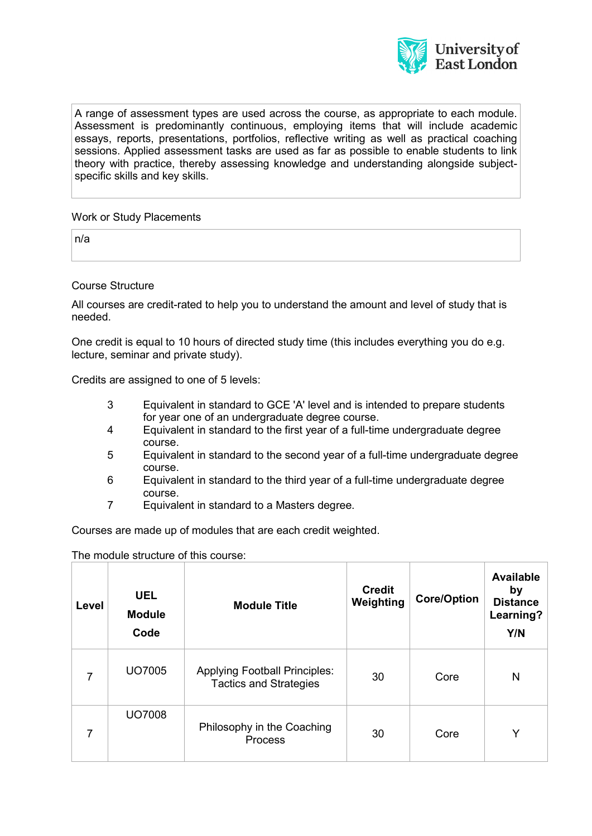

A range of assessment types are used across the course, as appropriate to each module. Assessment is predominantly continuous, employing items that will include academic essays, reports, presentations, portfolios, reflective writing as well as practical coaching sessions. Applied assessment tasks are used as far as possible to enable students to link theory with practice, thereby assessing knowledge and understanding alongside subjectspecific skills and key skills.

Work or Study Placements

n/a

Course Structure

All courses are credit-rated to help you to understand the amount and level of study that is needed.

One credit is equal to 10 hours of directed study time (this includes everything you do e.g. lecture, seminar and private study).

Credits are assigned to one of 5 levels:

- 3 Equivalent in standard to GCE 'A' level and is intended to prepare students for year one of an undergraduate degree course.
- 4 Equivalent in standard to the first year of a full-time undergraduate degree course.
- 5 Equivalent in standard to the second year of a full-time undergraduate degree course.
- 6 Equivalent in standard to the third year of a full-time undergraduate degree course.
- 7 Equivalent in standard to a Masters degree.

Courses are made up of modules that are each credit weighted.

The module structure of this course:

| Level | <b>UEL</b><br><b>Module</b><br>Code | <b>Module Title</b>                                                   | <b>Credit</b><br>Weighting | <b>Core/Option</b> | <b>Available</b><br>by<br><b>Distance</b><br>Learning?<br>Y/N |
|-------|-------------------------------------|-----------------------------------------------------------------------|----------------------------|--------------------|---------------------------------------------------------------|
|       | UO7005                              | <b>Applying Football Principles:</b><br><b>Tactics and Strategies</b> | 30                         | Core               | N                                                             |
| 7     | <b>UO7008</b>                       | Philosophy in the Coaching<br><b>Process</b>                          | 30                         | Core               | Y                                                             |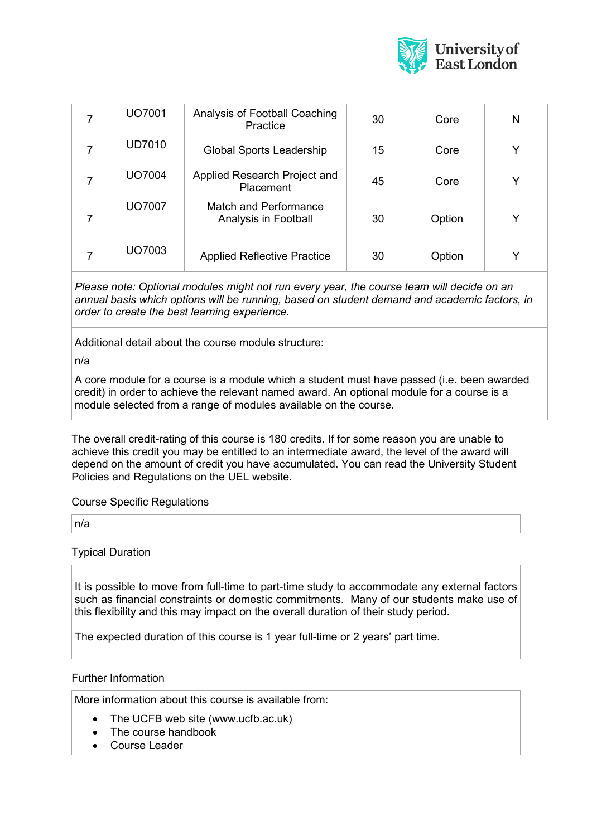

|   | UO7001        | Analysis of Football Coaching<br>Practice     | 30 | Core   | N |
|---|---------------|-----------------------------------------------|----|--------|---|
| 7 | <b>UD7010</b> | <b>Global Sports Leadership</b>               | 15 | Core   |   |
| 7 | <b>UO7004</b> | Applied Research Project and<br>Placement     | 45 | Core   |   |
|   | UO7007        | Match and Performance<br>Analysis in Football | 30 | Option | Y |
|   | UO7003        | <b>Applied Reflective Practice</b>            | 30 | Option |   |

*Please note: Optional modules might not run every year, the course team will decide on an annual basis which options will be running, based on student demand and academic factors, in order to create the best learning experience.*

Additional detail about the course module structure:

n/a

A core module for a course is a module which a student must have passed (i.e. been awarded credit) in order to achieve the relevant named award. An optional module for a course is a module selected from a range of modules available on the course.

The overall credit-rating of this course is 180 credits. If for some reason you are unable to achieve this credit you may be entitled to an intermediate award, the level of the award will depend on the amount of credit you have accumulated. You can read the University Student Policies and Regulations on the UEL website.

Course Specific Regulations

n/a

Typical Duration

It is possible to move from full-time to part-time study to accommodate any external factors such as financial constraints or domestic commitments. Many of our students make use of this flexibility and this may impact on the overall duration of their study period.

The expected duration of this course is 1 year full-time or 2 years' part time.

#### Further Information

More information about this course is available from:

- The UCFB web site (www.ucfb.ac.uk)
- The course handbook
- Course Leader